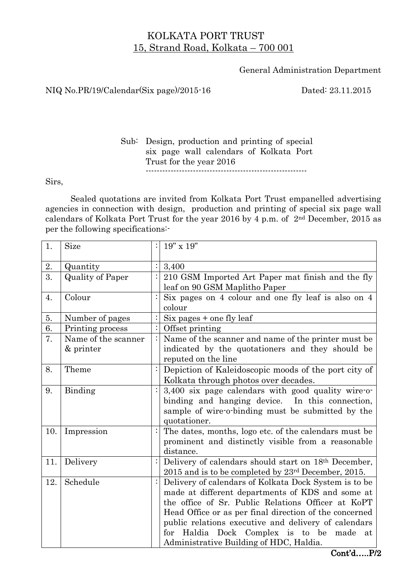## KOLKATA PORT TRUST 15, Strand Road, Kolkata – 700 001

General Administration Department

## NIQ No.PR/19/Calendar(Six page)/2015-16 Dated: 23.11.2015

Sub: Design, production and printing of special six page wall calendars of Kolkata Port Trust for the year 2016 ----------------------------------------------------------

Sirs,

Sealed quotations are invited from Kolkata Port Trust empanelled advertising agencies in connection with design, production and printing of special six page wall calendars of Kolkata Port Trust for the year 2016 by 4 p.m. of 2nd December, 2015 as per the following specifications:-

| 1.  | Size                             | $19"$ x $19"$                                                                                                                                                                                                                                                                                                                                                                  |  |
|-----|----------------------------------|--------------------------------------------------------------------------------------------------------------------------------------------------------------------------------------------------------------------------------------------------------------------------------------------------------------------------------------------------------------------------------|--|
| 2.  | Quantity                         | 3,400                                                                                                                                                                                                                                                                                                                                                                          |  |
| 3.  | <b>Quality of Paper</b>          | 210 GSM Imported Art Paper mat finish and the fly<br>leaf on 90 GSM Maplitho Paper                                                                                                                                                                                                                                                                                             |  |
| 4.  | Colour                           | Six pages on 4 colour and one fly leaf is also on 4<br>colour                                                                                                                                                                                                                                                                                                                  |  |
| 5.  | Number of pages                  | Six pages + one fly leaf                                                                                                                                                                                                                                                                                                                                                       |  |
| 6.  | Printing process                 | Offset printing                                                                                                                                                                                                                                                                                                                                                                |  |
| 7.  | Name of the scanner<br>& printer | Name of the scanner and name of the printer must be<br>indicated by the quotationers and they should be<br>reputed on the line                                                                                                                                                                                                                                                 |  |
| 8.  | Theme                            | Depiction of Kaleidoscopic moods of the port city of<br>Kolkata through photos over decades.                                                                                                                                                                                                                                                                                   |  |
| 9.  | Binding                          | 3,400 six page calendars with good quality wire-o-<br>binding and hanging device. In this connection,<br>sample of wire-o-binding must be submitted by the<br>quotationer.                                                                                                                                                                                                     |  |
| 10. | Impression                       | The dates, months, logo etc. of the calendars must be<br>prominent and distinctly visible from a reasonable<br>distance.                                                                                                                                                                                                                                                       |  |
| 11. | Delivery                         | Delivery of calendars should start on 18th December,<br>$2015$ and is to be completed by $23^{\text{rd}}$ December, 2015.                                                                                                                                                                                                                                                      |  |
| 12. | Schedule                         | Delivery of calendars of Kolkata Dock System is to be<br>made at different departments of KDS and some at<br>the office of Sr. Public Relations Officer at KoPT<br>Head Office or as per final direction of the concerned<br>public relations executive and delivery of calendars<br>for Haldia Dock Complex is to be<br>made<br>at<br>Administrative Building of HDC, Haldia. |  |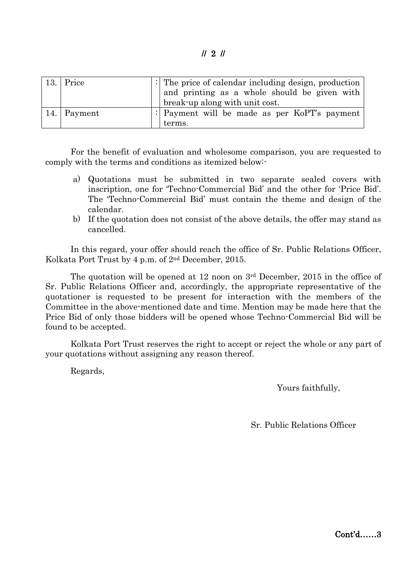// 2 //

| 13.1 | Price       | $\frac{1}{2}$ . The price of calendar including design, production<br>and printing as a whole should be given with<br>break-up along with unit cost. |
|------|-------------|------------------------------------------------------------------------------------------------------------------------------------------------------|
|      | 14. Payment | : Payment will be made as per KoPT's payment                                                                                                         |
|      |             | terms.                                                                                                                                               |

For the benefit of evaluation and wholesome comparison, you are requested to comply with the terms and conditions as itemized below:-

- a) Quotations must be submitted in two separate sealed covers with inscription, one for 'Techno-Commercial Bid' and the other for 'Price Bid'. The 'Techno-Commercial Bid' must contain the theme and design of the calendar.
- b) If the quotation does not consist of the above details, the offer may stand as cancelled.

In this regard, your offer should reach the office of Sr. Public Relations Officer, Kolkata Port Trust by 4 p.m. of 2nd December, 2015.

The quotation will be opened at 12 noon on  $3<sup>rd</sup>$  December, 2015 in the office of Sr. Public Relations Officer and, accordingly, the appropriate representative of the quotationer is requested to be present for interaction with the members of the Committee in the above-mentioned date and time. Mention may be made here that the Price Bid of only those bidders will be opened whose Techno-Commercial Bid will be found to be accepted.

Kolkata Port Trust reserves the right to accept or reject the whole or any part of your quotations without assigning any reason thereof.

Regards,

Yours faithfully,

Sr. Public Relations Officer

Cont'd……3